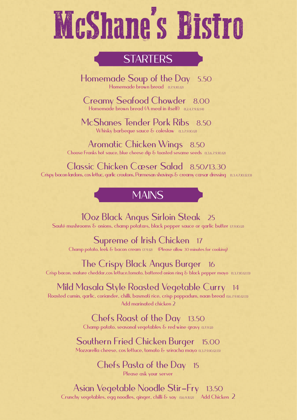# McShane's Bistro

## **STARTERS**

Homemade Soup of the Day 5.50 Homemade brown bread {17,9,10,12}

Creamy Seafood Chowder 8.00 Homemade brown bread (A meal in itself) {1,2,4,7,9,12,14}

McShanes Tender Pork Ribs 8.50 Whisky barbeque sauce & coleslaw {1,3,7,9,10,12}

Aromatic Chicken Wings 8.50 Choose Franks hot sauce, blue cheese dip & toasted sesame seeds {1,3,6,7,9,10,12}

Classic Chicken Caeser Salad 8.50/13.30 Crispy bacon lardons, cos lettuc, garlic croutons, Parmesan shavings & creamy caesar dressing {1,3,4,7,10,12,13}

#### $\overline{\phantom{a}}$ **MAINS**

10oz Black Angus Sirloin Steak 25 Sauté mushrooms & onions, champ potatœs, black pepper sauce or garlic butter {7,9,10,12}

Supreme of Irish Chicken 17

Champ potato, leek & bacon cream {7,9,12} (Please allow 30 minutes for cooking)

#### The Crispy Black Angus Burger 16

Crisp bacon, mature cheddar,cos lettuce,tomato, battered onion ring & black pepper mayo {1,3,7,10,12,13}

#### Mild Masala Style Roasted Vegetable Curry 14

Roasted cumin, garlic, coriander, chilli, basmati rice, crisp poppadum, naan bread {1,6,7,9,10,12,13} Add marinated chicken 2

#### Chefs Roast of the Day 13.50

Champ potato, seasonal vegetables & red wine gravy {1,7,9,12}

#### Southern Fried Chicken Burger 15.00

Mozzarella cheese, cos lettuce, tomato & sriracha mayo {1,3,7,9,10,12,13}

Chefs Pasta of the Day 15 Please ask your server

## Asian Vegetable Noodle Stir-Fry 13.50

Crunchy vegetables, egg noodles, ginger, chilli & soy {1,6,9,11,12} Add Chicken 2